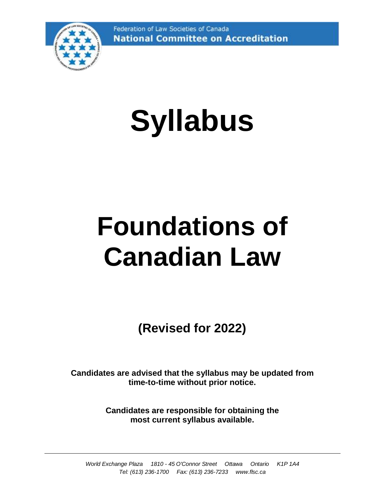

# **Syllabus**

## **Foundations of Canadian Law**

**(Revised for 2022)**

**Candidates are advised that the syllabus may be updated from time-to-time without prior notice.**

> **Candidates are responsible for obtaining the most current syllabus available.**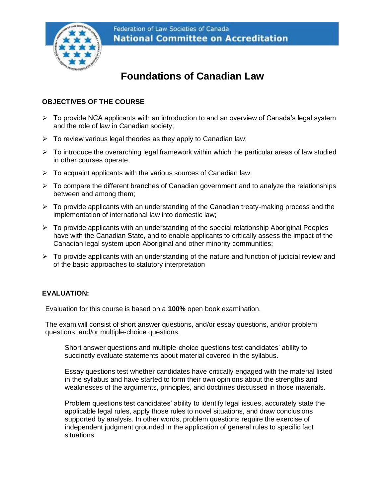

## **Foundations of Canadian Law**

## **OBJECTIVES OF THE COURSE**

- ➢ To provide NCA applicants with an introduction to and an overview of Canada's legal system and the role of law in Canadian society;
- $\triangleright$  To review various legal theories as they apply to Canadian law;
- $\triangleright$  To introduce the overarching legal framework within which the particular areas of law studied in other courses operate;
- $\triangleright$  To acquaint applicants with the various sources of Canadian law;
- ➢ To compare the different branches of Canadian government and to analyze the relationships between and among them;
- $\triangleright$  To provide applicants with an understanding of the Canadian treaty-making process and the implementation of international law into domestic law;
- ➢ To provide applicants with an understanding of the special relationship Aboriginal Peoples have with the Canadian State, and to enable applicants to critically assess the impact of the Canadian legal system upon Aboriginal and other minority communities;
- $\triangleright$  To provide applicants with an understanding of the nature and function of judicial review and of the basic approaches to statutory interpretation

## **EVALUATION:**

Evaluation for this course is based on a **100%** open book examination.

The exam will consist of short answer questions, and/or essay questions, and/or problem questions, and/or multiple-choice questions.

Short answer questions and multiple-choice questions test candidates' ability to succinctly evaluate statements about material covered in the syllabus.

Essay questions test whether candidates have critically engaged with the material listed in the syllabus and have started to form their own opinions about the strengths and weaknesses of the arguments, principles, and doctrines discussed in those materials.

Problem questions test candidates' ability to identify legal issues, accurately state the applicable legal rules, apply those rules to novel situations, and draw conclusions supported by analysis. In other words, problem questions require the exercise of independent judgment grounded in the application of general rules to specific fact situations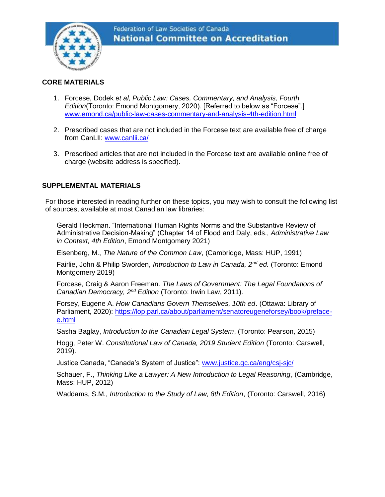

## **CORE MATERIALS**

- 1. Forcese, Dodek *et al, Public Law: Cases, Commentary, and Analysis, Fourth Edition*(Toronto: Emond Montgomery, 2020). [Referred to below as "Forcese".] [www.emond.ca/public-law-cases-commentary-and-analysis-4th-edition.html](http://www.emond.ca/public-law-cases-commentary-and-analysis-4th-edition.html)
- 2. Prescribed cases that are not included in the Forcese text are available free of charge from CanLII: [www.canlii.ca/](http://www.canlii.ca/)
- 3. Prescribed articles that are not included in the Forcese text are available online free of charge (website address is specified).

## **SUPPLEMENTAL MATERIALS**

For those interested in reading further on these topics, you may wish to consult the following list of sources, available at most Canadian law libraries:

Gerald Heckman. "International Human Rights Norms and the Substantive Review of Administrative Decision-Making" (Chapter 14 of Flood and Daly, eds., *Administrative Law in Context, 4th Edition*, Emond Montgomery 2021)

Eisenberg, M., *The Nature of the Common Law*, (Cambridge, Mass: HUP, 1991)

Fairlie, John & Philip Sworden, *Introduction to Law in Canada, 2nd ed.* (Toronto: Emond Montgomery 2019)

Forcese, Craig & Aaron Freeman. *The Laws of Government: The Legal Foundations of Canadian Democracy, 2nd Edition* (Toronto: Irwin Law, 2011).

Forsey, Eugene A. *How Canadians Govern Themselves, 10th ed*. (Ottawa: Library of Parliament, 2020): https://lop.parl.ca/about/parliament/senatoreugeneforsey/book/prefacee.html

Sasha Baglay, *Introduction to the Canadian Legal System*, (Toronto: Pearson, 2015)

Hogg, Peter W. *Constitutional Law of Canada, 2019 Student Edition* (Toronto: Carswell, 2019).

Justice Canada, "Canada's System of Justice": [www.justice.gc.ca/eng/csj-sjc/](http://www.justice.gc.ca/eng/csj-sjc/)

Schauer, F., *Thinking Like a Lawyer: A New Introduction to Legal Reasoning*, (Cambridge, Mass: HUP, 2012)

Waddams, S.M., *Introduction to the Study of Law, 8th Edition*, (Toronto: Carswell, 2016)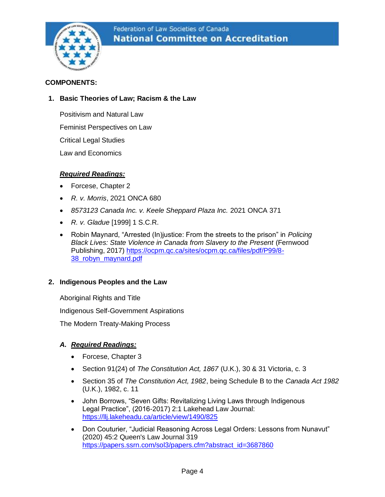

### **COMPONENTS:**

## **1. Basic Theories of Law; Racism & the Law**

Positivism and Natural Law

Feminist Perspectives on Law

Critical Legal Studies

Law and Economics

## *Required Readings:*

- Forcese, Chapter 2
- *R. v. Morris*, 2021 ONCA 680
- *8573123 Canada Inc. v. Keele Sheppard Plaza Inc.* 2021 ONCA 371
- *R. v. Gladue* [1999] 1 S.C.R.
- Robin Maynard, "Arrested (In)justice: From the streets to the prison" in *Policing*  **Black Lives: State Violence in Canada from Slavery to the Present (Fernwood** Publishing, 2017) [https://ocpm.qc.ca/sites/ocpm.qc.ca/files/pdf/P99/8-](https://linkprotect.cudasvc.com/url?a=https%3a%2f%2focpm.qc.ca%2fsites%2focpm.qc.ca%2ffiles%2fpdf%2fP99%2f8-38_robyn_maynard.pdf&c=E,1,DOnSL5HJTQk6XNd7fKVkfMwJ45K0aNTeMrDRpuRiLgkKh2roWtuS9QpodxLn3iVJSsRboIIf8gPQ5f0NUIzAI1TZJUq-dCuScSrAFfOp&typo=1) [38\\_robyn\\_maynard.pdf](https://linkprotect.cudasvc.com/url?a=https%3a%2f%2focpm.qc.ca%2fsites%2focpm.qc.ca%2ffiles%2fpdf%2fP99%2f8-38_robyn_maynard.pdf&c=E,1,DOnSL5HJTQk6XNd7fKVkfMwJ45K0aNTeMrDRpuRiLgkKh2roWtuS9QpodxLn3iVJSsRboIIf8gPQ5f0NUIzAI1TZJUq-dCuScSrAFfOp&typo=1)

## **2. Indigenous Peoples and the Law**

Aboriginal Rights and Title

Indigenous Self-Government Aspirations

The Modern Treaty-Making Process

## *A. Required Readings:*

- Forcese, Chapter 3
- Section 91(24) of *The Constitution Act, 1867* (U.K.), 30 & 31 Victoria, c. 3
- Section 35 of *The Constitution Act, 1982*, being Schedule B to the *Canada Act 1982*  (U.K.), 1982, c. 11
- John Borrows, "Seven Gifts: Revitalizing Living Laws through Indigenous Legal Practice", (2016-2017) 2:1 Lakehead Law Journal: <https://llj.lakeheadu.ca/article/view/1490/825>
- Don Couturier, "Judicial Reasoning Across Legal Orders: Lessons from Nunavut" (2020) 45:2 Queen's Law Journal 319 [https://papers.ssrn.com/sol3/papers.cfm?abstract\\_id=3687860](https://papers.ssrn.com/sol3/papers.cfm?abstract_id=3687860)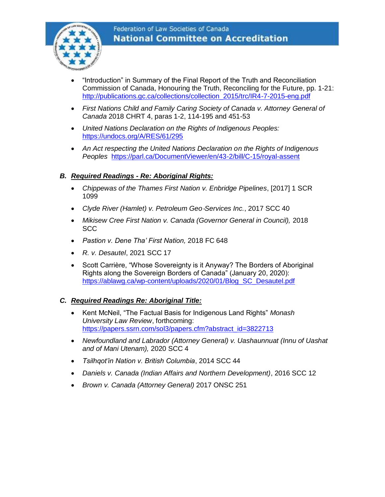

- "Introduction" in Summary of the Final Report of the Truth and Reconciliation Commission of Canada, Honouring the Truth, Reconciling for the Future, pp. 1-21: [http://publications.gc.ca/collections/collection\\_2015/trc/IR4-7-2015-eng.pdf](http://publications.gc.ca/collections/collection_2015/trc/IR4-7-2015-eng.pdf)
- *First Nations Child and Family Caring Society of Canada v. Attorney General of Canada* 2018 CHRT 4, paras 1-2, 114-195 and 451-53
- *United Nations Declaration on the Rights of Indigenous Peoples:*  <https://undocs.org/A/RES/61/295>
- *An Act respecting the United Nations Declaration on the Rights of Indigenous Peoples* <https://parl.ca/DocumentViewer/en/43-2/bill/C-15/royal-assent>

## *B. Required Readings - Re: Aboriginal Rights:*

- *Chippewas of the Thames First Nation v. Enbridge Pipelines*, [2017] 1 SCR 1099
- *Clyde River (Hamlet) v. Petroleum Geo*‑*Services Inc.*, 2017 SCC 40
- *Mikisew Cree First Nation v. Canada (Governor General in Council),* 2018 **SCC**
- *Pastion v. Dene Tha' First Nation,* 2018 FC 648
- *[R. v. Desautel](https://linkprotect.cudasvc.com/url?a=https%3a%2f%2fdecisions.scc-csc.ca%2fscc-csc%2fscc-csc%2fen%2fitem%2f18836%2findex.do&c=E%2C1%2CnMD6ExSFcwy38Uah_OvoIvfU3qW1tAs_edvxbsyt8uthr8xEOXH-wChopf4_wiFZRMoBrWb_sili3lhMi0KbfpJOHpM_nYumHNGbThE_rWFzbsct23exlR-OgwIg&typo=1)*, 2021 SCC 17
- Scott Carrière, "Whose Sovereignty is it Anyway? The Borders of Aboriginal Rights along the Sovereign Borders of Canada" (January 20, 2020): [https://ablawg.ca/wp-content/uploads/2020/01/Blog\\_SC\\_Desautel.pdf](https://ablawg.ca/wp-content/uploads/2020/01/Blog_SC_Desautel.pdf)

## *C. Required Readings Re: Aboriginal Title:*

- Kent McNeil, "The Factual Basis for Indigenous Land Rights" *Monash University Law Review*, forthcoming: [https://papers.ssrn.com/sol3/papers.cfm?abstract\\_id=3822713](https://papers.ssrn.com/sol3/papers.cfm?abstract_id=3822713)
- *Newfoundland and Labrador (Attorney General) v. Uashaunnuat (Innu of Uashat and of Mani Utenam),* 2020 SCC 4
- *Tsilhqot'in Nation v. British Columbia*, 2014 SCC 44
- *[Daniels v. Canada \(Indian Affairs and Northern Development\)](https://scc-csc.lexum.com/scc-csc/scc-csc/en/item/15858/index.do)*[, 2016 SCC 12](https://scc-csc.lexum.com/scc-csc/scc-csc/en/item/15858/index.do)
- *Brown v. Canada (Attorney General)* 2017 ONSC 251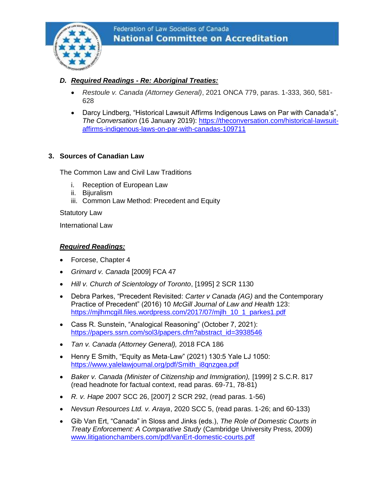

## *D. Required Readings - Re: Aboriginal Treaties:*

- *Restoule v. Canada (Attorney General)*, 2021 ONCA 779, paras. 1-333, 360, 581- 628
- Darcy Lindberg, "Historical Lawsuit Affirms Indigenous Laws on Par with Canada's", *The Conversation* (16 January 2019): [https://theconversation.com/historical-lawsuit](https://theconversation.com/historical-lawsuit-affirms-indigenous-laws-on-par-with-canadas-109711)[affirms-indigenous-laws-on-par-with-canadas-109711](https://theconversation.com/historical-lawsuit-affirms-indigenous-laws-on-par-with-canadas-109711)

## **3. Sources of Canadian Law**

The Common Law and Civil Law Traditions

- i. Reception of European Law
- ii. Bijuralism
- iii. Common Law Method: Precedent and Equity

Statutory Law

International Law

## *Required Readings:*

- Forcese, Chapter 4
- *Grimard v. Canada* [2009] FCA 47
- *Hill v. Church of Scientology of Toronto*, [1995] 2 SCR 1130
- Debra Parkes, "Precedent Revisited: *Carter v Canada (AG)* and the Contemporary Practice of Precedent" (2016) 10 *McGill Journal of Law and Health* 123: [https://mjlhmcgill.files.wordpress.com/2017/07/mjlh\\_10\\_1\\_parkes1.pdf](https://mjlhmcgill.files.wordpress.com/2017/07/mjlh_10_1_parkes1.pdf)
- Cass R. Sunstein, "Analogical Reasoning" (October 7, 2021): [https://papers.ssrn.com/sol3/papers.cfm?abstract\\_id=3938546](https://papers.ssrn.com/sol3/papers.cfm?abstract_id=3938546)
- *Tan v. Canada (Attorney General),* 2018 FCA 186
- Henry E Smith, "Equity as Meta-Law" (2021) 130:5 Yale LJ 1050: https://www.yalelawjournal.org/pdf/Smith\_i8qnzqea.pdf
- Baker v. Canada (Minister of Citizenship and Immigration), [1999] 2 S.C.R. 817 (read headnote for factual context, read paras. 69-71, 78-81)
- *R. v. Hape* 2007 SCC 26, [2007] 2 SCR 292, (read paras. 1-56)
- *Nevsun Resources Ltd. v. Araya*, 2020 SCC 5, (read paras. 1-26; and 60-133)
- Gib Van Ert, "Canada" in Sloss and Jinks (eds.), *The Role of Domestic Courts in Treaty Enforcement: A Comparative Study* (Cambridge University Press, 2009) [www.litigationchambers.com/pdf/vanErt-domestic-courts.pdf](http://www.litigationchambers.com/pdf/vanErt-domestic-courts.pdf)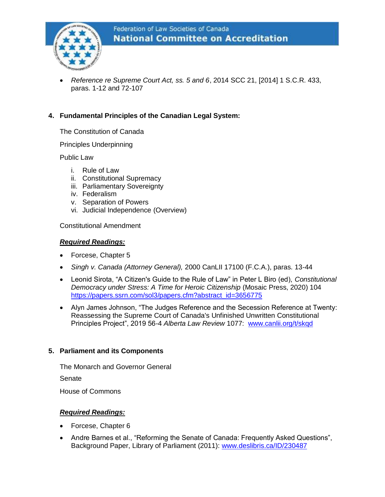

• *Reference re Supreme Court Act, ss. 5 and 6*, 2014 SCC 21, [2014] 1 S.C.R. 433, paras. 1-12 and 72-107

## **4. Fundamental Principles of the Canadian Legal System:**

The Constitution of Canada

Principles Underpinning

Public Law

- i. Rule of Law
- ii. Constitutional Supremacy
- iii. Parliamentary Sovereignty
- iv. Federalism
- v. Separation of Powers
- vi. Judicial Independence (Overview)

Constitutional Amendment

#### *Required Readings:*

- Forcese, Chapter 5
- *Singh v. Canada (Attorney General),* 2000 CanLII 17100 (F.C.A.), paras. 13-44
- Leonid Sirota, "A Citizen's Guide to the Rule of Law" in Peter L Biro (ed), *Constitutional Democracy under Stress: A Time for Heroic Citizenship* (Mosaic Press, 2020) 104 [https://papers.ssrn.com/sol3/papers.cfm?abstract\\_id=3656775](https://papers.ssrn.com/sol3/papers.cfm?abstract_id=3656775)
- Alyn James Johnson, "The Judges Reference and the Secession Reference at Twenty: Reassessing the Supreme Court of Canada's Unfinished Unwritten Constitutional Principles Project", 2019 56-4 *Alberta Law Review* 1077: [www.canlii.org/t/skqd](http://www.canlii.org/t/skqd)

#### **5. Parliament and its Components**

The Monarch and Governor General

Senate

House of Commons

#### *Required Readings:*

- Forcese, Chapter 6
- Andre Barnes et al., "Reforming the Senate of Canada: Frequently Asked Questions", Background Paper, Library of Parliament (2011): [www.deslibris.ca/ID/230487](http://www.deslibris.ca/ID/230487)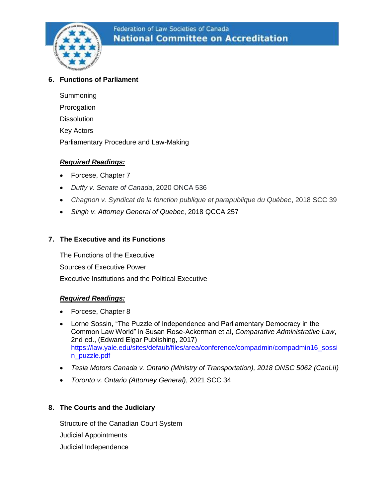

## **6. Functions of Parliament**

Summoning Prorogation **Dissolution** Key Actors Parliamentary Procedure and Law-Making

## *Required Readings:*

- Forcese, Chapter 7
- *Duffy v. Senate of Canada*, 2020 ONCA 536
- *Chagnon v. Syndicat de la fonction publique et parapublique du Québec*, 2018 SCC 39
- *Singh v. Attorney General of Quebec*, 2018 QCCA 257

## **7. The Executive and its Functions**

The Functions of the Executive Sources of Executive Power Executive Institutions and the Political Executive

## *Required Readings:*

- Forcese, Chapter 8
- Lorne Sossin, "The Puzzle of Independence and Parliamentary Democracy in the Common Law World" in Susan Rose-Ackerman et al, *Comparative Administrative Law*, 2nd ed., (Edward Elgar Publishing, 2017) [https://law.yale.edu/sites/default/files/area/conference/compadmin/compadmin16\\_sossi](https://law.yale.edu/sites/default/files/area/conference/compadmin/compadmin16_sossin_puzzle.pdf) [n\\_puzzle.pdf](https://law.yale.edu/sites/default/files/area/conference/compadmin/compadmin16_sossin_puzzle.pdf)
- *Tesla Motors Canada v. Ontario (Ministry of Transportation), 2018 ONSC 5062 (CanLII)*
- *Toronto v. Ontario (Attorney General)*, 2021 SCC 34

## **8. The Courts and the Judiciary**

Structure of the Canadian Court System Judicial Appointments Judicial Independence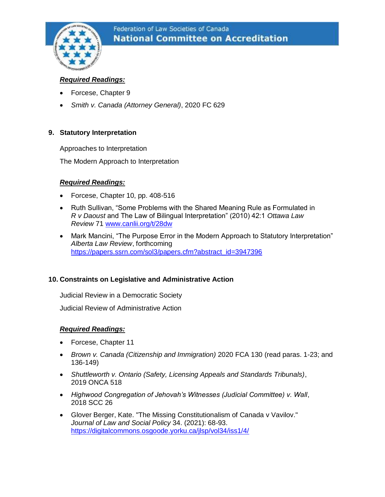

## *Required Readings:*

- Forcese, Chapter 9
- *Smith v. Canada (Attorney General)*, 2020 FC 629

## **9. Statutory Interpretation**

Approaches to Interpretation

The Modern Approach to Interpretation

## *Required Readings:*

- Forcese, Chapter 10, pp. 408-516
- Ruth Sullivan, "Some Problems with the Shared Meaning Rule as Formulated in *R v Daoust* and The Law of Bilingual Interpretation" (2010) 42:1 *Ottawa Law Review* 71 [www.canlii.org/t/28dw](http://www.canlii.org/t/28dw)
- Mark Mancini, "The Purpose Error in the Modern Approach to Statutory Interpretation" *Alberta Law Review*, forthcoming [https://papers.ssrn.com/sol3/papers.cfm?abstract\\_id=3947396](https://papers.ssrn.com/sol3/papers.cfm?abstract_id=3947396)

## **10. Constraints on Legislative and Administrative Action**

Judicial Review in a Democratic Society

Judicial Review of Administrative Action

## *Required Readings:*

- Forcese, Chapter 11
- *Brown v. Canada (Citizenship and Immigration)* 2020 FCA 130 (read paras. 1-23; and 136-149)
- *Shuttleworth v. Ontario (Safety, Licensing Appeals and Standards Tribunals)*, 2019 ONCA 518
- *Highwood Congregation of Jehovah's Witnesses (Judicial Committee) v. Wall*, 2018 SCC 26
- Glover Berger, Kate. "The Missing Constitutionalism of Canada v Vavilov." *Journal of Law and Social Policy* 34. (2021): 68-93. <https://digitalcommons.osgoode.yorku.ca/jlsp/vol34/iss1/4/>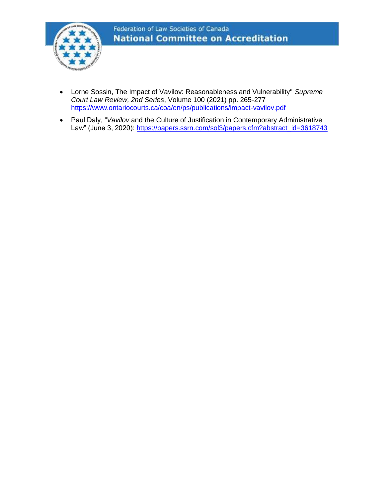

- Lorne Sossin, The Impact of Vavilov: Reasonableness and Vulnerability" *Supreme Court Law Review, 2nd Series*, Volume 100 (2021) pp. 265-277 <https://www.ontariocourts.ca/coa/en/ps/publications/impact-vavilov.pdf>
- Paul Daly, "*Vavilov* and the Culture of Justification in Contemporary Administrative Law" (June 3, 2020): [https://papers.ssrn.com/sol3/papers.cfm?abstract\\_id=3618743](https://papers.ssrn.com/sol3/papers.cfm?abstract_id=3618743)